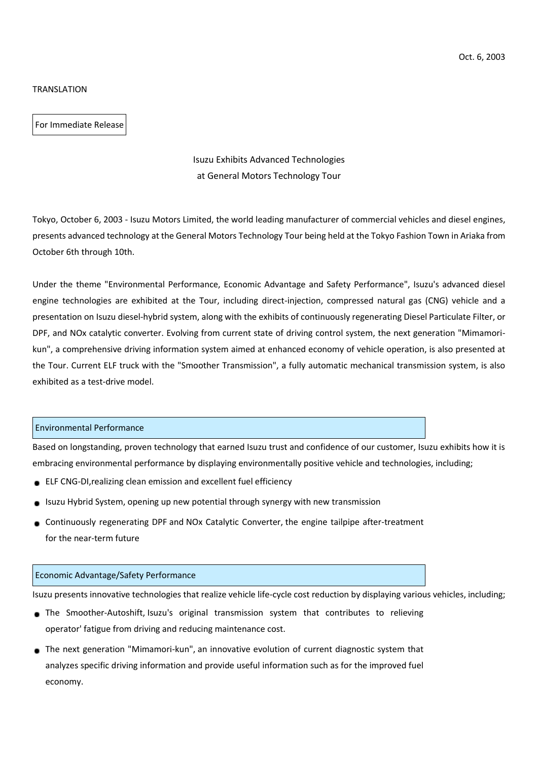### **TRANSLATION**

For Immediate Release

# Isuzu Exhibits Advanced Technologies at General Motors Technology Tour

Tokyo, October 6, 2003 - Isuzu Motors Limited, the world leading manufacturer of commercial vehicles and diesel engines, presents advanced technology at the General Motors Technology Tour being held at the Tokyo Fashion Town in Ariaka from October 6th through 10th.

Under the theme "Environmental Performance, Economic Advantage and Safety Performance", Isuzu's advanced diesel engine technologies are exhibited at the Tour, including direct-injection, compressed natural gas (CNG) vehicle and a presentation on Isuzu diesel-hybrid system, along with the exhibits of continuously regenerating Diesel Particulate Filter, or DPF, and NOx catalytic converter. Evolving from current state of driving control system, the next generation "Mimamorikun", a comprehensive driving information system aimed at enhanced economy of vehicle operation, is also presented at the Tour. Current ELF truck with the "Smoother Transmission", a fully automatic mechanical transmission system, is also exhibited as a test-drive model.

### Environmental Performance

Based on longstanding, proven technology that earned Isuzu trust and confidence of our customer, Isuzu exhibits how it is embracing environmental performance by displaying environmentally positive vehicle and technologies, including;

- ELF CNG-DI,realizing clean emission and excellent fuel efficiency
- Isuzu Hybrid System, opening up new potential through synergy with new transmission
- Continuously regenerating DPF and NOx Catalytic Converter, the engine tailpipe after-treatment for the near-term future

## Economic Advantage/Safety Performance

Isuzu presents innovative technologies that realize vehicle life-cycle cost reduction by displaying various vehicles, including;

- The Smoother-Autoshift, Isuzu's original transmission system that contributes to relieving operator' fatigue from driving and reducing maintenance cost.
- The next generation "Mimamori-kun", an innovative evolution of current diagnostic system that analyzes specific driving information and provide useful information such as for the improved fuel economy.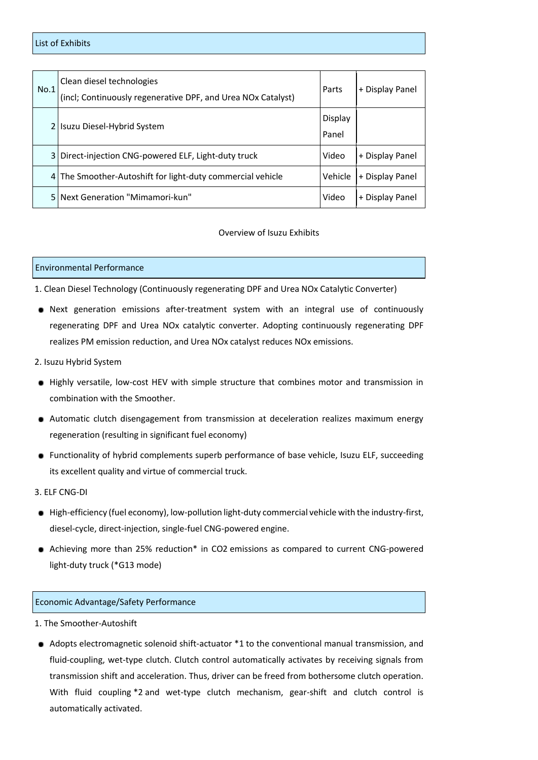| No.1 | Clean diesel technologies<br>(incl; Continuously regenerative DPF, and Urea NOx Catalyst) | Parts            | + Display Panel |
|------|-------------------------------------------------------------------------------------------|------------------|-----------------|
|      | Isuzu Diesel-Hybrid System                                                                | Display<br>Panel |                 |
|      | 3 Direct-injection CNG-powered ELF, Light-duty truck                                      | Video            | + Display Panel |
|      | 4 The Smoother-Autoshift for light-duty commercial vehicle                                | Vehicle          | + Display Panel |
| 5.   | Next Generation "Mimamori-kun"                                                            | Video            | + Display Panel |

### Overview of Isuzu Exhibits

#### Environmental Performance

1. Clean Diesel Technology (Continuously regenerating DPF and Urea NOx Catalytic Converter)

- Next generation emissions after-treatment system with an integral use of continuously regenerating DPF and Urea NOx catalytic converter. Adopting continuously regenerating DPF realizes PM emission reduction, and Urea NOx catalyst reduces NOx emissions.
- 2. Isuzu Hybrid System
- Highly versatile, low-cost HEV with simple structure that combines motor and transmission in combination with the Smoother.
- Automatic clutch disengagement from transmission at deceleration realizes maximum energy regeneration (resulting in significant fuel economy)
- Functionality of hybrid complements superb performance of base vehicle, Isuzu ELF, succeeding its excellent quality and virtue of commercial truck.
- 3. ELF CNG-DI
- High-efficiency (fuel economy), low-pollution light-duty commercial vehicle with the industry-first, diesel-cycle, direct-injection, single-fuel CNG-powered engine.
- Achieving more than 25% reduction\* in CO2 emissions as compared to current CNG-powered light-duty truck (\*G13 mode)

#### Economic Advantage/Safety Performance

- 1. The Smoother-Autoshift
- Adopts electromagnetic solenoid shift-actuator \*1 to the conventional manual transmission, and fluid-coupling, wet-type clutch. Clutch control automatically activates by receiving signals from transmission shift and acceleration. Thus, driver can be freed from bothersome clutch operation. With fluid coupling \*2 and wet-type clutch mechanism, gear-shift and clutch control is automatically activated.